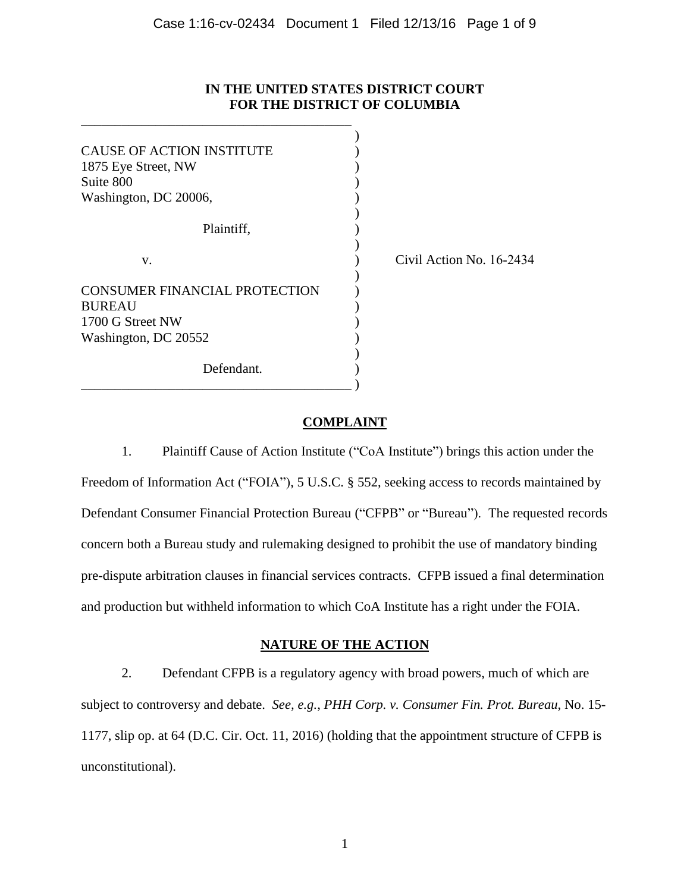## **IN THE UNITED STATES DISTRICT COURT FOR THE DISTRICT OF COLUMBIA**

| <b>CAUSE OF ACTION INSTITUTE</b><br>1875 Eye Street, NW<br>Suite 800<br>Washington, DC 20006,     |                          |
|---------------------------------------------------------------------------------------------------|--------------------------|
| Plaintiff,                                                                                        |                          |
| V.                                                                                                | Civil Action No. 16-2434 |
| <b>CONSUMER FINANCIAL PROTECTION</b><br><b>BUREAU</b><br>1700 G Street NW<br>Washington, DC 20552 |                          |
| Defendant.                                                                                        |                          |

\_\_\_\_\_\_\_\_\_\_\_\_\_\_\_\_\_\_\_\_\_\_\_\_\_\_\_\_\_\_\_\_\_\_\_\_\_\_\_\_

# **COMPLAINT**

1. Plaintiff Cause of Action Institute ("CoA Institute") brings this action under the Freedom of Information Act ("FOIA"), 5 U.S.C. § 552, seeking access to records maintained by Defendant Consumer Financial Protection Bureau ("CFPB" or "Bureau"). The requested records concern both a Bureau study and rulemaking designed to prohibit the use of mandatory binding pre-dispute arbitration clauses in financial services contracts. CFPB issued a final determination and production but withheld information to which CoA Institute has a right under the FOIA.

# **NATURE OF THE ACTION**

2. Defendant CFPB is a regulatory agency with broad powers, much of which are subject to controversy and debate. *See, e.g.*, *PHH Corp. v. Consumer Fin. Prot. Bureau*, No. 15- 1177, slip op. at 64 (D.C. Cir. Oct. 11, 2016) (holding that the appointment structure of CFPB is unconstitutional).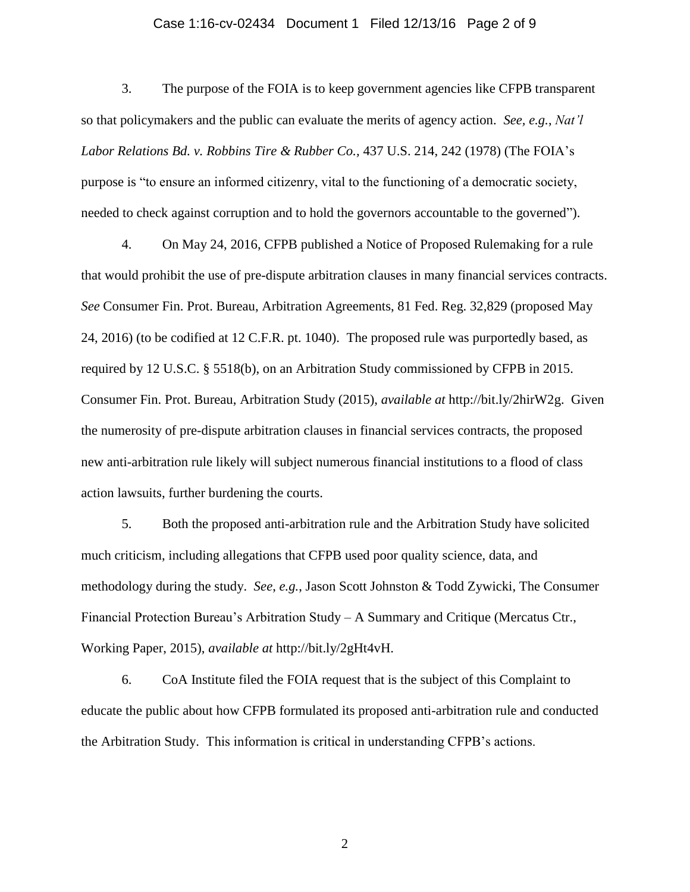## Case 1:16-cv-02434 Document 1 Filed 12/13/16 Page 2 of 9

3. The purpose of the FOIA is to keep government agencies like CFPB transparent so that policymakers and the public can evaluate the merits of agency action. *See, e.g.*, *Nat'l Labor Relations Bd. v. Robbins Tire & Rubber Co.,* 437 U.S. 214, 242 (1978) (The FOIA's purpose is "to ensure an informed citizenry, vital to the functioning of a democratic society, needed to check against corruption and to hold the governors accountable to the governed").

4. On May 24, 2016, CFPB published a Notice of Proposed Rulemaking for a rule that would prohibit the use of pre-dispute arbitration clauses in many financial services contracts. *See* Consumer Fin. Prot. Bureau, Arbitration Agreements, 81 Fed. Reg. 32,829 (proposed May 24, 2016) (to be codified at 12 C.F.R. pt. 1040). The proposed rule was purportedly based, as required by 12 U.S.C. § 5518(b), on an Arbitration Study commissioned by CFPB in 2015. Consumer Fin. Prot. Bureau, Arbitration Study (2015), *available at* http://bit.ly/2hirW2g. Given the numerosity of pre-dispute arbitration clauses in financial services contracts, the proposed new anti-arbitration rule likely will subject numerous financial institutions to a flood of class action lawsuits, further burdening the courts.

5. Both the proposed anti-arbitration rule and the Arbitration Study have solicited much criticism, including allegations that CFPB used poor quality science, data, and methodology during the study. *See*, *e.g.*, Jason Scott Johnston & Todd Zywicki, The Consumer Financial Protection Bureau's Arbitration Study – A Summary and Critique (Mercatus Ctr., Working Paper, 2015), *available at* http://bit.ly/2gHt4vH.

6. CoA Institute filed the FOIA request that is the subject of this Complaint to educate the public about how CFPB formulated its proposed anti-arbitration rule and conducted the Arbitration Study. This information is critical in understanding CFPB's actions.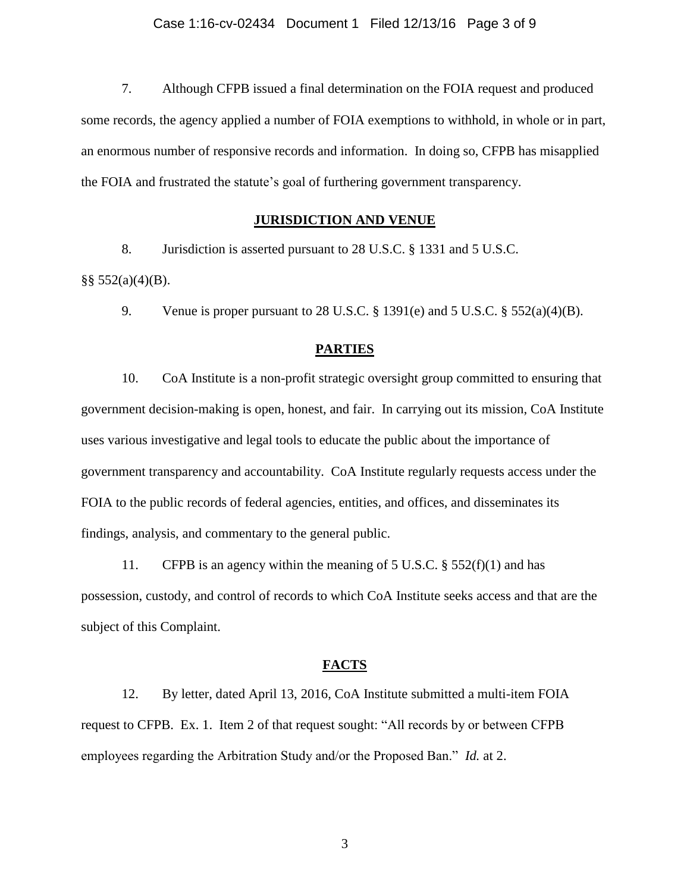7. Although CFPB issued a final determination on the FOIA request and produced some records, the agency applied a number of FOIA exemptions to withhold, in whole or in part, an enormous number of responsive records and information. In doing so, CFPB has misapplied the FOIA and frustrated the statute's goal of furthering government transparency.

### **JURISDICTION AND VENUE**

8. Jurisdiction is asserted pursuant to 28 U.S.C. § 1331 and 5 U.S.C.

 $\S$ § 552(a)(4)(B).

9. Venue is proper pursuant to 28 U.S.C.  $\S$  1391(e) and 5 U.S.C.  $\S$  552(a)(4)(B).

## **PARTIES**

10. CoA Institute is a non-profit strategic oversight group committed to ensuring that government decision-making is open, honest, and fair. In carrying out its mission, CoA Institute uses various investigative and legal tools to educate the public about the importance of government transparency and accountability. CoA Institute regularly requests access under the FOIA to the public records of federal agencies, entities, and offices, and disseminates its findings, analysis, and commentary to the general public.

11. CFPB is an agency within the meaning of 5 U.S.C.  $\S$  552(f)(1) and has possession, custody, and control of records to which CoA Institute seeks access and that are the subject of this Complaint.

## **FACTS**

12. By letter, dated April 13, 2016, CoA Institute submitted a multi-item FOIA request to CFPB. Ex. 1. Item 2 of that request sought: "All records by or between CFPB employees regarding the Arbitration Study and/or the Proposed Ban." *Id.* at 2.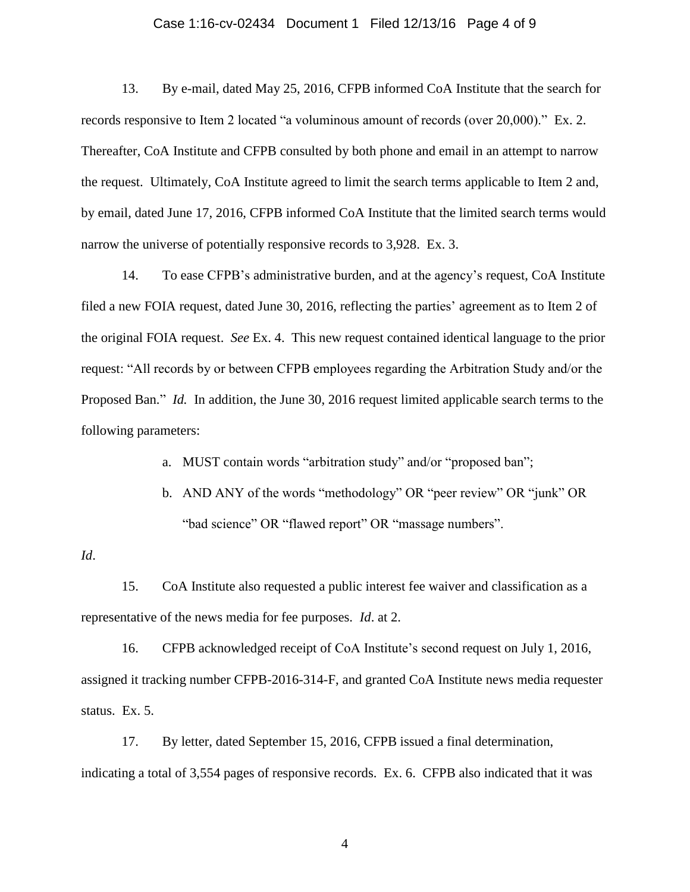## Case 1:16-cv-02434 Document 1 Filed 12/13/16 Page 4 of 9

13. By e-mail, dated May 25, 2016, CFPB informed CoA Institute that the search for records responsive to Item 2 located "a voluminous amount of records (over 20,000)." Ex. 2. Thereafter, CoA Institute and CFPB consulted by both phone and email in an attempt to narrow the request. Ultimately, CoA Institute agreed to limit the search terms applicable to Item 2 and, by email, dated June 17, 2016, CFPB informed CoA Institute that the limited search terms would narrow the universe of potentially responsive records to 3,928. Ex. 3.

14. To ease CFPB's administrative burden, and at the agency's request, CoA Institute filed a new FOIA request, dated June 30, 2016, reflecting the parties' agreement as to Item 2 of the original FOIA request. *See* Ex. 4. This new request contained identical language to the prior request: "All records by or between CFPB employees regarding the Arbitration Study and/or the Proposed Ban." *Id.* In addition, the June 30, 2016 request limited applicable search terms to the following parameters:

a. MUST contain words "arbitration study" and/or "proposed ban";

b. AND ANY of the words "methodology" OR "peer review" OR "junk" OR "bad science" OR "flawed report" OR "massage numbers".

## *Id*.

15. CoA Institute also requested a public interest fee waiver and classification as a representative of the news media for fee purposes. *Id*. at 2.

16. CFPB acknowledged receipt of CoA Institute's second request on July 1, 2016, assigned it tracking number CFPB-2016-314-F, and granted CoA Institute news media requester status. Ex. 5.

17. By letter, dated September 15, 2016, CFPB issued a final determination, indicating a total of 3,554 pages of responsive records. Ex. 6. CFPB also indicated that it was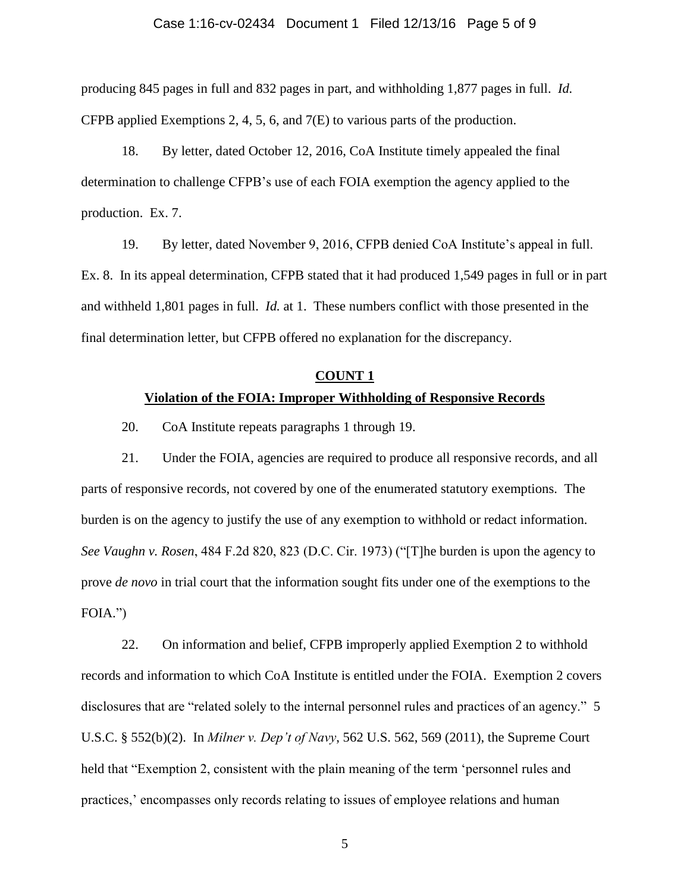## Case 1:16-cv-02434 Document 1 Filed 12/13/16 Page 5 of 9

producing 845 pages in full and 832 pages in part, and withholding 1,877 pages in full. *Id.*  CFPB applied Exemptions 2, 4, 5, 6, and 7(E) to various parts of the production.

18. By letter, dated October 12, 2016, CoA Institute timely appealed the final determination to challenge CFPB's use of each FOIA exemption the agency applied to the production. Ex. 7.

19. By letter, dated November 9, 2016, CFPB denied CoA Institute's appeal in full. Ex. 8. In its appeal determination, CFPB stated that it had produced 1,549 pages in full or in part and withheld 1,801 pages in full. *Id.* at 1. These numbers conflict with those presented in the final determination letter, but CFPB offered no explanation for the discrepancy.

### **COUNT 1**

## **Violation of the FOIA: Improper Withholding of Responsive Records**

20. CoA Institute repeats paragraphs 1 through 19.

21. Under the FOIA, agencies are required to produce all responsive records, and all parts of responsive records, not covered by one of the enumerated statutory exemptions. The burden is on the agency to justify the use of any exemption to withhold or redact information. *See Vaughn v. Rosen*, 484 F.2d 820, 823 (D.C. Cir. 1973) ("[T]he burden is upon the agency to prove *de novo* in trial court that the information sought fits under one of the exemptions to the FOIA.")

22. On information and belief, CFPB improperly applied Exemption 2 to withhold records and information to which CoA Institute is entitled under the FOIA. Exemption 2 covers disclosures that are "related solely to the internal personnel rules and practices of an agency." 5 U.S.C. § 552(b)(2). In *Milner v. Dep't of Navy*, 562 U.S. 562, 569 (2011), the Supreme Court held that "Exemption 2, consistent with the plain meaning of the term 'personnel rules and practices,' encompasses only records relating to issues of employee relations and human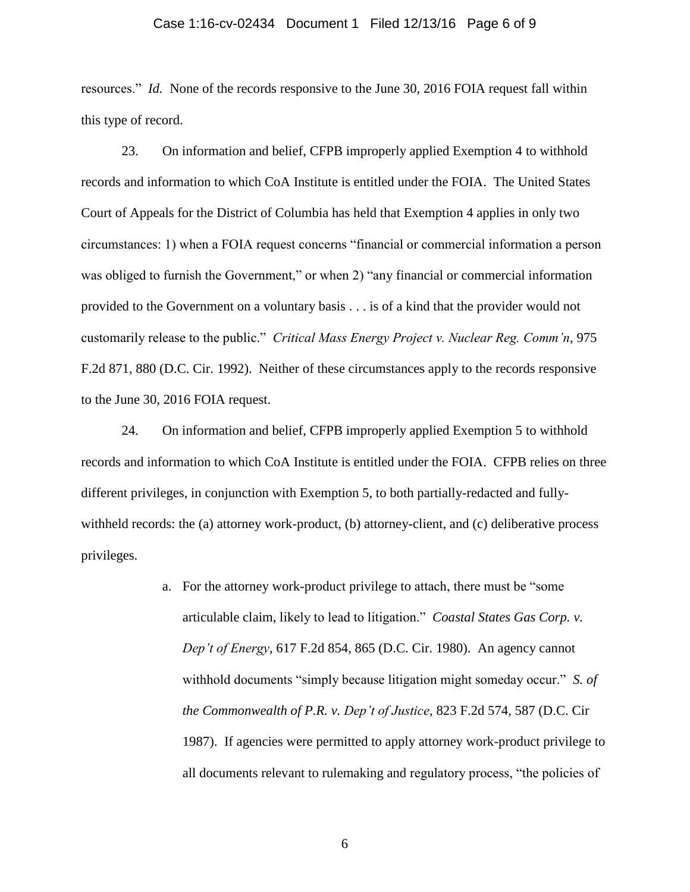### Case 1:16-cv-02434 Document 1 Filed 12/13/16 Page 6 of 9

resources." *Id.* None of the records responsive to the June 30, 2016 FOIA request fall within this type of record.

23. On information and belief, CFPB improperly applied Exemption 4 to withhold records and information to which CoA Institute is entitled under the FOIA. The United States Court of Appeals for the District of Columbia has held that Exemption 4 applies in only two circumstances: 1) when a FOIA request concerns "financial or commercial information a person was obliged to furnish the Government," or when 2) "any financial or commercial information provided to the Government on a voluntary basis . . . is of a kind that the provider would not customarily release to the public." *Critical Mass Energy Project v. Nuclear Reg. Comm'n*, 975 F.2d 871, 880 (D.C. Cir. 1992). Neither of these circumstances apply to the records responsive to the June 30, 2016 FOIA request.

24. On information and belief, CFPB improperly applied Exemption 5 to withhold records and information to which CoA Institute is entitled under the FOIA. CFPB relies on three different privileges, in conjunction with Exemption 5, to both partially-redacted and fullywithheld records: the (a) attorney work-product, (b) attorney-client, and (c) deliberative process privileges.

> a. For the attorney work-product privilege to attach, there must be "some articulable claim, likely to lead to litigation." *Coastal States Gas Corp. v. Dep't of Energy*, 617 F.2d 854, 865 (D.C. Cir. 1980). An agency cannot withhold documents "simply because litigation might someday occur." *S. of the Commonwealth of P.R. v. Dep't of Justice*, 823 F.2d 574, 587 (D.C. Cir 1987). If agencies were permitted to apply attorney work-product privilege to all documents relevant to rulemaking and regulatory process, "the policies of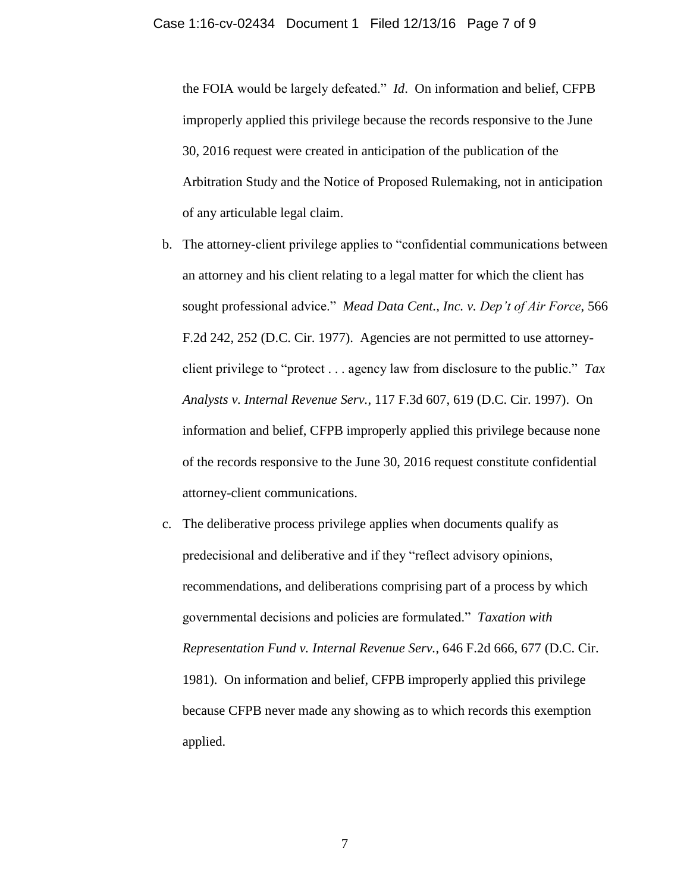the FOIA would be largely defeated." *Id*. On information and belief, CFPB improperly applied this privilege because the records responsive to the June 30, 2016 request were created in anticipation of the publication of the Arbitration Study and the Notice of Proposed Rulemaking, not in anticipation of any articulable legal claim.

- b. The attorney-client privilege applies to "confidential communications between an attorney and his client relating to a legal matter for which the client has sought professional advice." *Mead Data Cent., Inc. v. Dep't of Air Force*, 566 F.2d 242, 252 (D.C. Cir. 1977). Agencies are not permitted to use attorneyclient privilege to "protect . . . agency law from disclosure to the public." *Tax Analysts v. Internal Revenue Serv.*, 117 F.3d 607, 619 (D.C. Cir. 1997). On information and belief, CFPB improperly applied this privilege because none of the records responsive to the June 30, 2016 request constitute confidential attorney-client communications.
- c. The deliberative process privilege applies when documents qualify as predecisional and deliberative and if they "reflect advisory opinions, recommendations, and deliberations comprising part of a process by which governmental decisions and policies are formulated." *Taxation with Representation Fund v. Internal Revenue Serv.*, 646 F.2d 666, 677 (D.C. Cir. 1981). On information and belief, CFPB improperly applied this privilege because CFPB never made any showing as to which records this exemption applied.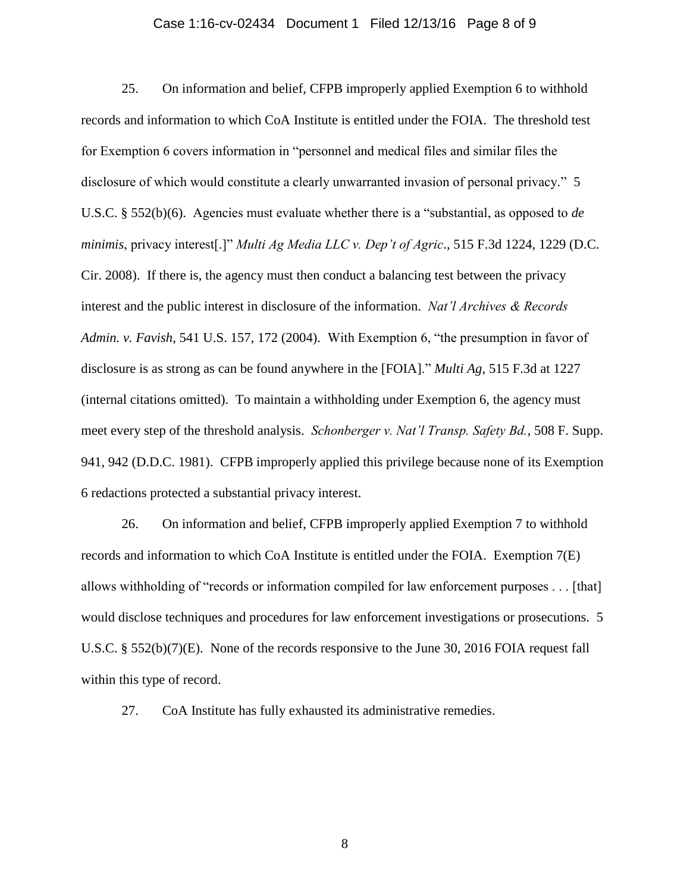### Case 1:16-cv-02434 Document 1 Filed 12/13/16 Page 8 of 9

25. On information and belief, CFPB improperly applied Exemption 6 to withhold records and information to which CoA Institute is entitled under the FOIA. The threshold test for Exemption 6 covers information in "personnel and medical files and similar files the disclosure of which would constitute a clearly unwarranted invasion of personal privacy." 5 U.S.C. § 552(b)(6). Agencies must evaluate whether there is a "substantial, as opposed to *de minimis*, privacy interest[.]" *Multi Ag Media LLC v. Dep't of Agric*., 515 F.3d 1224, 1229 (D.C. Cir. 2008). If there is, the agency must then conduct a balancing test between the privacy interest and the public interest in disclosure of the information. *Nat'l Archives & Records Admin. v. Favish*, 541 U.S. 157, 172 (2004). With Exemption 6, "the presumption in favor of disclosure is as strong as can be found anywhere in the [FOIA]." *Multi Ag*, 515 F.3d at 1227 (internal citations omitted). To maintain a withholding under Exemption 6, the agency must meet every step of the threshold analysis. *Schonberger v. Nat'l Transp. Safety Bd.*, 508 F. Supp. 941, 942 (D.D.C. 1981). CFPB improperly applied this privilege because none of its Exemption 6 redactions protected a substantial privacy interest.

26. On information and belief, CFPB improperly applied Exemption 7 to withhold records and information to which CoA Institute is entitled under the FOIA. Exemption 7(E) allows withholding of "records or information compiled for law enforcement purposes . . . [that] would disclose techniques and procedures for law enforcement investigations or prosecutions. 5 U.S.C. § 552(b)(7)(E). None of the records responsive to the June 30, 2016 FOIA request fall within this type of record.

27. CoA Institute has fully exhausted its administrative remedies.